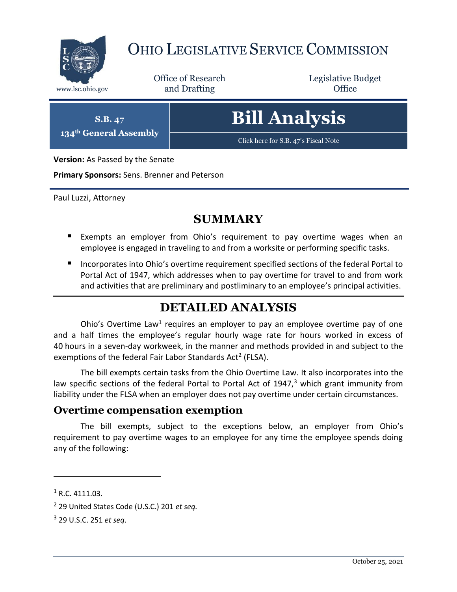

## OHIO LEGISLATIVE SERVICE COMMISSION

Office of Research www.lsc.ohio.gov **and Drafting Office** 

Legislative Budget

**S.B. 47 134th General Assembly**

# **Bill Analysis**

[Click here for S.B. 47](https://www.legislature.ohio.gov/legislation/legislation-documents?id=GA134-SB-47)'s Fiscal Note

**Version:** As Passed by the Senate

**Primary Sponsors:** Sens. Brenner and Peterson

Paul Luzzi, Attorney

## **SUMMARY**

- Exempts an employer from Ohio's requirement to pay overtime wages when an employee is engaged in traveling to and from a worksite or performing specific tasks.
- Incorporates into Ohio's overtime requirement specified sections of the federal Portal to Portal Act of 1947, which addresses when to pay overtime for travel to and from work and activities that are preliminary and postliminary to an employee's principal activities.

## **DETAILED ANALYSIS**

Ohio's Overtime Law<sup>1</sup> requires an employer to pay an employee overtime pay of one and a half times the employee's regular hourly wage rate for hours worked in excess of 40 hours in a seven-day workweek, in the manner and methods provided in and subject to the exemptions of the federal Fair Labor Standards Act<sup>2</sup> (FLSA).

The bill exempts certain tasks from the Ohio Overtime Law. It also incorporates into the law specific sections of the federal Portal to Portal Act of  $1947<sup>3</sup>$  which grant immunity from liability under the FLSA when an employer does not pay overtime under certain circumstances.

#### **Overtime compensation exemption**

The bill exempts, subject to the exceptions below, an employer from Ohio's requirement to pay overtime wages to an employee for any time the employee spends doing any of the following:

 $\overline{a}$ 

 $1 R.C. 4111.03.$ 

<sup>2</sup> 29 United States Code (U.S.C.) 201 *et seq.*

<sup>3</sup> 29 U.S.C. 251 *et seq*.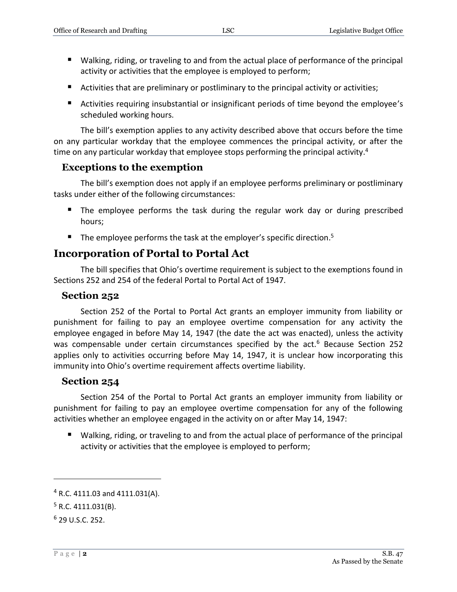- Walking, riding, or traveling to and from the actual place of performance of the principal activity or activities that the employee is employed to perform;
- Activities that are preliminary or postliminary to the principal activity or activities;
- Activities requiring insubstantial or insignificant periods of time beyond the employee's scheduled working hours.

The bill's exemption applies to any activity described above that occurs before the time on any particular workday that the employee commences the principal activity, or after the time on any particular workday that employee stops performing the principal activity.<sup>4</sup>

#### **Exceptions to the exemption**

The bill's exemption does not apply if an employee performs preliminary or postliminary tasks under either of the following circumstances:

- The employee performs the task during the regular work day or during prescribed hours;
- $\blacksquare$  The employee performs the task at the employer's specific direction.<sup>5</sup>

#### **Incorporation of Portal to Portal Act**

The bill specifies that Ohio's overtime requirement is subject to the exemptions found in Sections 252 and 254 of the federal Portal to Portal Act of 1947.

#### **Section 252**

Section 252 of the Portal to Portal Act grants an employer immunity from liability or punishment for failing to pay an employee overtime compensation for any activity the employee engaged in before May 14, 1947 (the date the act was enacted), unless the activity was compensable under certain circumstances specified by the act.<sup>6</sup> Because Section 252 applies only to activities occurring before May 14, 1947, it is unclear how incorporating this immunity into Ohio's overtime requirement affects overtime liability.

#### **Section 254**

Section 254 of the Portal to Portal Act grants an employer immunity from liability or punishment for failing to pay an employee overtime compensation for any of the following activities whether an employee engaged in the activity on or after May 14, 1947:

■ Walking, riding, or traveling to and from the actual place of performance of the principal activity or activities that the employee is employed to perform;

 $\overline{a}$ 

<sup>4</sup> R.C. 4111.03 and 4111.031(A).

 $5$  R.C. 4111.031(B).

 $6$  29 U.S.C. 252.